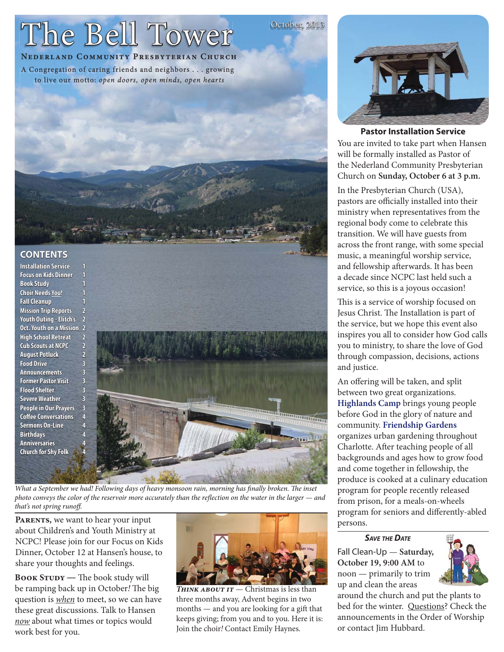# The Bell Tower

# NEDERLAND COMMUNITY PRESBYTERIAN CHURCH

A Congregation of caring friends and neighbors . . . growing to live our motto: open doors, open minds, open hearts



# **CONTENTS**

**Installation Service Focus on Kids Dinner Book Study** Choir Needs You! **Fall Cleanup Mission Trip Reports** Youth Outing - Elitch's 2 Oct. Youth on a Mission 2 **High School Retreat**  $\overline{2}$ **Cub Scouts at NCPC**  $\overline{2}$ **August Potluck**  $\overline{2}$ **Food Drive**  $\overline{\mathbf{R}}$ **Announcements**  $\overline{3}$ **Former Pastor Visit**  $\overline{\mathbf{3}}$ **Flood Shelter**  $\overline{R}$ **Severe Weather**  $\overline{a}$ People in Our Prayers  $\overline{\mathbf{3}}$ **Coffee Conversations Sermons On-Line Birthdays Anniversaries Church for Shy Folk** 



What a September we had! Following days of heavy monsoon rain, morning has finally broken. The inset photo conveys the color of the reservoir more accurately than the reflection on the water in the larger — and that's not spring runoff.

PARENTS, we want to hear your input about Children's and Youth Ministry at NCPC! Please join for our Focus on Kids Dinner, October 12 at Hansen's house, to share your thoughts and feelings.

BOOK STUDY - The book study will be ramping back up in October! The big question is *when* to meet, so we can have these great discussions. Talk to Hansen now about what times or topics would work best for you.



THINK ABOUT IT - Christmas is less than three months away, Advent begins in two months — and you are looking for a gift that keeps giving; from you and to you. Here it is: Join the choir! Contact Emily Haynes.



October, 2013

## **Pastor Installation Service**

You are invited to take part when Hansen will be formally installed as Pastor of the Nederland Community Presbyterian Church on Sunday, October 6 at 3 p.m.

In the Presbyterian Church (USA), pastors are officially installed into their ministry when representatives from the regional body come to celebrate this transition. We will have guests from across the front range, with some special music, a meaningful worship service, and fellowship afterwards. It has been a decade since NCPC last held such a service, so this is a joyous occasion!

This is a service of worship focused on Jesus Christ. The Installation is part of the service, but we hope this event also inspires you all to consider how God calls you to ministry, to share the love of God through compassion, decisions, actions and justice.

An offering will be taken, and split between two great organizations. Highlands Camp brings young people before God in the glory of nature and community. Friendship Gardens organizes urban gardening throughout Charlotte. After teaching people of all backgrounds and ages how to grow food and come together in fellowship, the produce is cooked at a culinary education program for people recently released from prison, for a meals-on-wheels program for seniors and differently-abled persons.

**SAVE THE DATE** 

Fall Clean-Up - Saturday, October 19, 9:00 AM to noon — primarily to trim up and clean the areas



around the church and put the plants to bed for the winter. Questions? Check the announcements in the Order of Worship or contact Jim Hubbard.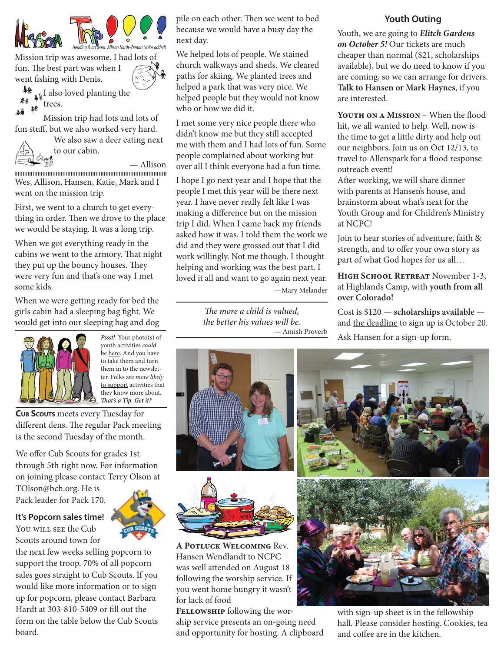



Mission trip was awesome. I had lots of fun. The best part was when I went fishing with Denis.



 $\Psi$ l also loved planting the 基底 **the trees.** 

Mission trip had lots and lots of fun stuff, but we also worked very hard.

We also saw a deer eating next



to our cabin.

**ESSENTENT SURFERIT SURFERIT SURFERIT SURFERIT SURFERIT SURFERIT SURFERIT SURFERIT SURFERIT SURFERIT SURFERIT SU**<br>TELEVISION SURFERIT SURFERIT SURFERIT SURFERIT SURFERIT SURFERIT SURFERIT SURFERIT SURFERIT SURFERIT SURFERI

Wes, Allison, Hansen, Katie, Mark and I went on the mission trip.

First, we went to a church to get everything in order. Then we drove to the place we would be staying. It was a long trip.

When we got everything ready in the cabins we went to the armory. That night they put up the bouncy houses. They were very fun and that's one way I met some kids.

When we were getting ready for bed the girls cabin had a sleeping bag fight. We would get into our sleeping bag and dog



**Pssst!** Your photo(s) of youth activities *could* be here. And you have to take them and turn them in to the newsletter. Folks are more likely to support activities that they know more about. **Th at's a Tip. Get it?**

**CUB SCOUTS** meets every Tuesday for different dens. The regular Pack meeting is the second Tuesday of the month.

We offer Cub Scouts for grades 1st through 5th right now. For information on joining please contact Terry Olson at

TOlson@bch.org. He is Pack leader for Pack 170.

**It's Popcorn sales time!**  You will see the Cub Scouts around town for

the next few weeks selling popcorn to support the troop. 70% of all popcorn sales goes straight to Cub Scouts. If you would like more information or to sign up for popcorn, please contact Barbara Hardt at 303-810-5409 or fill out the form on the table below the Cub Scouts board.

pile on each other. Then we went to bed because we would have a busy day the next day.

We helped lots of people. We stained church walkways and sheds. We cleared paths for skiing. We planted trees and helped a park that was very nice. We helped people but they would not know who or how we did it.

I met some very nice people there who didn't know me but they still accepted me with them and I had lots of fun. Some people complained about working but over all I think everyone had a fun time.

I hope I go next year and I hope that the people I met this year will be there next year. I have never really felt like I was making a difference but on the mission trip I did. When I came back my friends asked how it was. I told them the work we did and they were grossed out that I did work willingly. Not me though. I thought helping and working was the best part. I loved it all and want to go again next year. —Mary Melander

> *The more a child is valued, the better his values will be.* — Amish Proverb





**A Potluck Welcoming** Rev. Hansen Wendlandt to NCPC was well attended on August 18 following the worship service. If you went home hungry it wasn't for lack of food

**Fellowship** following the worship service presents an on-going need and opportunity for hosting. A clipboard



Youth, we are going to **Elitch Gardens on October 5!** Our tickets are much cheaper than normal (\$21, scholarships available), but we do need to know if you are coming, so we can arrange for drivers. **Talk to Hansen or Mark Haynes**, if you are interested.

**YOUTH ON A MISSION** – When the flood hit, we all wanted to help. Well, now is the time to get a little dirty and help out our neighbors. Join us on Oct 12/13, to travel to Allenspark for a flood response outreach event!

After working, we will share dinner with parents at Hansen's house, and brainstorm about what's next for the Youth Group and for Children's Ministry at NCPC!

Join to hear stories of adventure, faith & strength, and to offer your own story as part of what God hopes for us all…

**High School Retreat** November 1-3, at Highlands Camp, with **youth from all over Colorado!**

Cost is \$120 — **scholarships available**  and the deadline to sign up is October 20. Ask Hansen for a sign-up form.





with sign-up sheet is in the fellowship hall. Please consider hosting. Cookies, tea and coffee are in the kitchen.

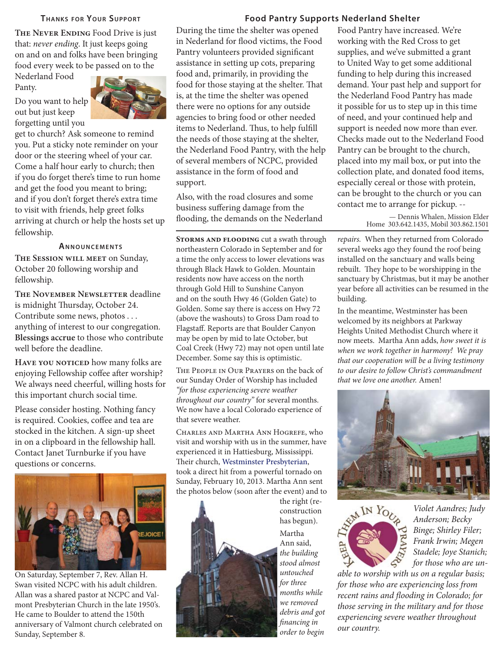#### **THANKS FOR YOUR SUPPORT**

**The Never Ending** Food Drive is just that: never ending. It just keeps going on and on and folks have been bringing food every week to be passed on to the

Nederland Food Panty.



get to church? Ask someone to remind you. Put a sticky note reminder on your door or the steering wheel of your car. Come a half hour early to church; then if you do forget there's time to run home and get the food you meant to bring; and if you don't forget there's extra time to visit with friends, help greet folks arriving at church or help the hosts set up fellowship.

#### **ANNOUNCEMENTS**

**The Session will meet** on Sunday, October 20 following worship and fellowship.

**THE NOVEMBER NEWSLETTER deadline** is midnight Thursday, October 24. Contribute some news, photos . . . anything of interest to our congregation. **Blessings accrue** to those who contribute well before the deadline.

**HAVE YOU NOTICED** how many folks are enjoying Fellowship coffee after worship? We always need cheerful, willing hosts for this important church social time.

Please consider hosting. Nothing fancy is required. Cookies, coffee and tea are stocked in the kitchen. A sign-up sheet in on a clipboard in the fellowship hall. Contact Janet Turnburke if you have questions or concerns.



On Saturday, September 7, Rev. Allan H. Swan visited NCPC with his adult children. Allan was a shared pastor at NCPC and Valmont Presbyterian Church in the late 1950's. He came to Boulder to attend the 150th anniversary of Valmont church celebrated on Sunday, September 8.

#### **Food Pantry Supports Nederland Shelter**

During the time the shelter was opened in Nederland for flood victims, the Food Pantry volunteers provided significant assistance in setting up cots, preparing food and, primarily, in providing the food for those staying at the shelter. That is, at the time the shelter was opened there were no options for any outside agencies to bring food or other needed items to Nederland. Thus, to help fulfill the needs of those staying at the shelter, the Nederland Food Pantry, with the help of several members of NCPC, provided assistance in the form of food and support.

Also, with the road closures and some business suffering damage from the flooding, the demands on the Nederland

**Storms and flooding** cut a swath through northeastern Colorado in September and for a time the only access to lower elevations was through Black Hawk to Golden. Mountain residents now have access on the north through Gold Hill to Sunshine Canyon and on the south Hwy 46 (Golden Gate) to Golden. Some say there is access on Hwy 72 (above the washouts) to Gross Dam road to Flagstaff. Reports are that Boulder Canyon may be open by mid to late October, but Coal Creek (Hwy 72) may not open until late December. Some say this is optimistic.

The People in Our Prayers on the back of our Sunday Order of Worship has included "for those experiencing severe weather throughout our country" for several months. We now have a local Colorado experience of that severe weather.

Charles and Martha Ann Hogrefe, who visit and worship with us in the summer, have experienced it in Hattiesburg, Mississippi. Their church, Westminster Presbyterian, took a direct hit from a powerful tornado on Sunday, February 10, 2013. Martha Ann sent the photos below (soon after the event) and to



the right (reconstruction has begun). Martha Ann said, the building stood almost untouched for three months while we removed debris and got financing in order to begin

Food Pantry have increased. We're working with the Red Cross to get supplies, and we've submitted a grant to United Way to get some additional funding to help during this increased demand. Your past help and support for the Nederland Food Pantry has made it possible for us to step up in this time of need, and your continued help and support is needed now more than ever. Checks made out to the Nederland Food Pantry can be brought to the church, placed into my mail box, or put into the collection plate, and donated food items, especially cereal or those with protein, can be brought to the church or you can contact me to arrange for pickup. --

> — Dennis Whalen, Mission Elder Home 303.642.1435, Mobil 303.862.1501

repairs. When they returned from Colorado several weeks ago they found the roof being installed on the sanctuary and walls being rebuilt. They hope to be worshipping in the sanctuary by Christmas, but it may be another year before all activities can be resumed in the building.

In the meantime, Westminster has been welcomed by its neighbors at Parkway Heights United Methodist Church where it now meets. Martha Ann adds, how sweet it is when we work together in harmony! We pray that our cooperation will be a living testimony to our desire to follow Christ's commandment that we love one another. Amen!





Violet Aandres; Judy Anderson; Becky Binge; Shirley Filer; Frank Irwin; Megen Stadele; Joye Stanich; for those who are un-

able to worship with us on a regular basis; for those who are experiencing loss from recent rains and flooding in Colorado; for those serving in the military and for those experiencing severe weather throughout our country.